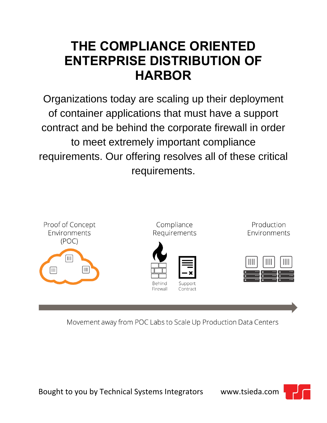## **THE COMPLIANCE ORIENTED ENTERPRISE DISTRIBUTION OF HARBOR**

Organizations today are scaling up their deployment of container applications that must have a support contract and be behind the corporate firewall in order to meet extremely important compliance requirements. Our offering resolves all of these critical requirements.



Movement away from POC Labs to Scale Up Production Data Centers



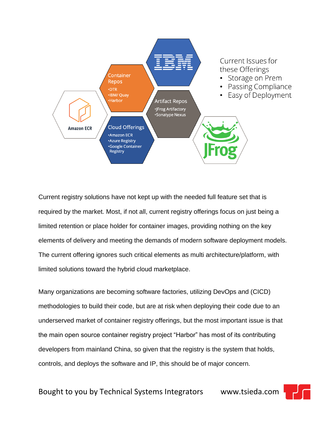

Current registry solutions have not kept up with the needed full feature set that is required by the market. Most, if not all, current registry offerings focus on just being a limited retention or place holder for container images, providing nothing on the key elements of delivery and meeting the demands of modern software deployment models. The current offering ignores such critical elements as multi architecture/platform, with limited solutions toward the hybrid cloud marketplace.

Many organizations are becoming software factories, utilizing DevOps and (CICD) methodologies to build their code, but are at risk when deploying their code due to an underserved market of container registry offerings, but the most important issue is that the main open source container registry project "Harbor" has most of its contributing developers from mainland China, so given that the registry is the system that holds, controls, and deploys the software and IP, this should be of major concern.

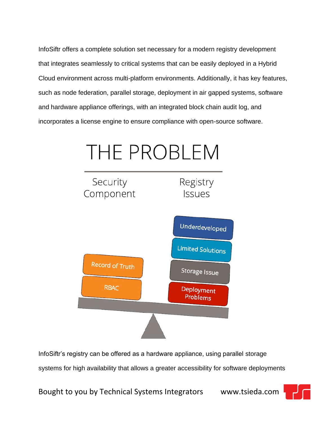InfoSiftr offers a complete solution set necessary for a modern registry development that integrates seamlessly to critical systems that can be easily deployed in a Hybrid Cloud environment across multi-platform environments. Additionally, it has key features, such as node federation, parallel storage, deployment in air gapped systems, software and hardware appliance offerings, with an integrated block chain audit log, and incorporates a license engine to ensure compliance with open-source software.



InfoSiftr's registry can be offered as a hardware appliance, using parallel storage systems for high availability that allows a greater accessibility for software deployments

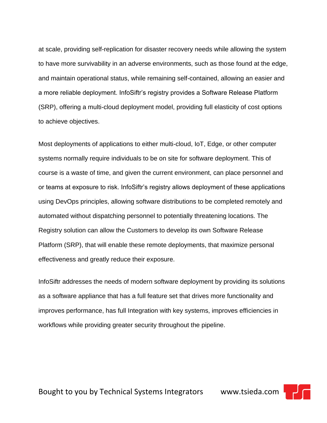at scale, providing self-replication for disaster recovery needs while allowing the system to have more survivability in an adverse environments, such as those found at the edge, and maintain operational status, while remaining self-contained, allowing an easier and a more reliable deployment. InfoSiftr's registry provides a Software Release Platform (SRP), offering a multi-cloud deployment model, providing full elasticity of cost options to achieve objectives.

Most deployments of applications to either multi-cloud, IoT, Edge, or other computer systems normally require individuals to be on site for software deployment. This of course is a waste of time, and given the current environment, can place personnel and or teams at exposure to risk. InfoSiftr's registry allows deployment of these applications using DevOps principles, allowing software distributions to be completed remotely and automated without dispatching personnel to potentially threatening locations. The Registry solution can allow the Customers to develop its own Software Release Platform (SRP), that will enable these remote deployments, that maximize personal effectiveness and greatly reduce their exposure.

InfoSiftr addresses the needs of modern software deployment by providing its solutions as a software appliance that has a full feature set that drives more functionality and improves performance, has full Integration with key systems, improves efficiencies in workflows while providing greater security throughout the pipeline.

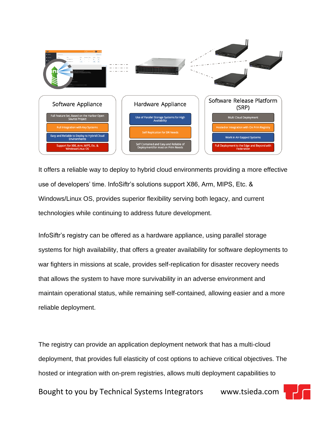

It offers a reliable way to deploy to hybrid cloud environments providing a more effective use of developers' time. InfoSiftr's solutions support X86, Arm, MIPS, Etc. & Windows/Linux OS, provides superior flexibility serving both legacy, and current technologies while continuing to address future development.

InfoSiftr's registry can be offered as a hardware appliance, using parallel storage systems for high availability, that offers a greater availability for software deployments to war fighters in missions at scale, provides self-replication for disaster recovery needs that allows the system to have more survivability in an adverse environment and maintain operational status, while remaining self-contained, allowing easier and a more reliable deployment.

The registry can provide an application deployment network that has a multi-cloud deployment, that provides full elasticity of cost options to achieve critical objectives. The hosted or integration with on-prem registries, allows multi deployment capabilities to